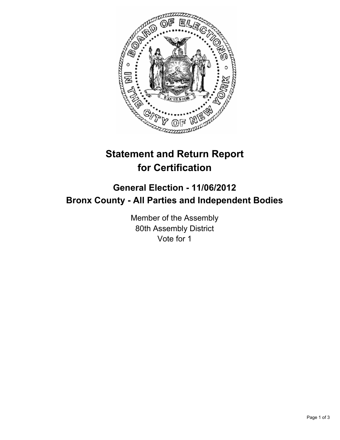

# **Statement and Return Report for Certification**

## **General Election - 11/06/2012 Bronx County - All Parties and Independent Bodies**

Member of the Assembly 80th Assembly District Vote for 1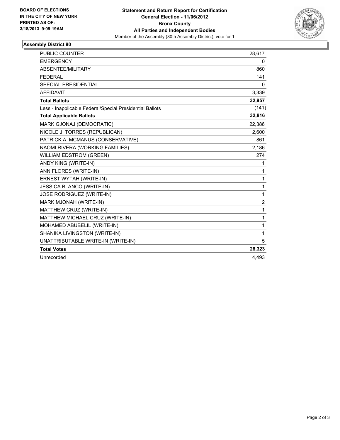

### **Assembly District 80**

| <b>PUBLIC COUNTER</b>                                    | 28,617           |
|----------------------------------------------------------|------------------|
| <b>EMERGENCY</b>                                         | 0                |
| ABSENTEE/MILITARY                                        | 860              |
| <b>FEDERAL</b>                                           | 141              |
| SPECIAL PRESIDENTIAL                                     | 0                |
| <b>AFFIDAVIT</b>                                         | 3,339            |
| <b>Total Ballots</b>                                     | 32,957           |
| Less - Inapplicable Federal/Special Presidential Ballots | (141)            |
| <b>Total Applicable Ballots</b>                          | 32,816           |
| MARK GJONAJ (DEMOCRATIC)                                 | 22,386           |
| NICOLE J. TORRES (REPUBLICAN)                            | 2,600            |
| PATRICK A. MCMANUS (CONSERVATIVE)                        | 861              |
| NAOMI RIVERA (WORKING FAMILIES)                          | 2,186            |
| <b>WILLIAM EDSTROM (GREEN)</b>                           | 274              |
| ANDY KING (WRITE-IN)                                     | 1                |
| ANN FLORES (WRITE-IN)                                    | 1                |
| ERNEST WYTAH (WRITE-IN)                                  | 1                |
| JESSICA BLANCO (WRITE-IN)                                | 1                |
| <b>JOSE RODRIGUEZ (WRITE-IN)</b>                         | 1                |
| MARK MJONAH (WRITE-IN)                                   | $\boldsymbol{2}$ |
| MATTHEW CRUZ (WRITE-IN)                                  | 1                |
| MATTHEW MICHAEL CRUZ (WRITE-IN)                          | 1                |
| MOHAMED ABUBELIL (WRITE-IN)                              | 1                |
| SHANIKA LIVINGSTON (WRITE-IN)                            | 1                |
| UNATTRIBUTABLE WRITE-IN (WRITE-IN)                       | 5                |
| <b>Total Votes</b>                                       | 28,323           |
| Unrecorded                                               | 4,493            |